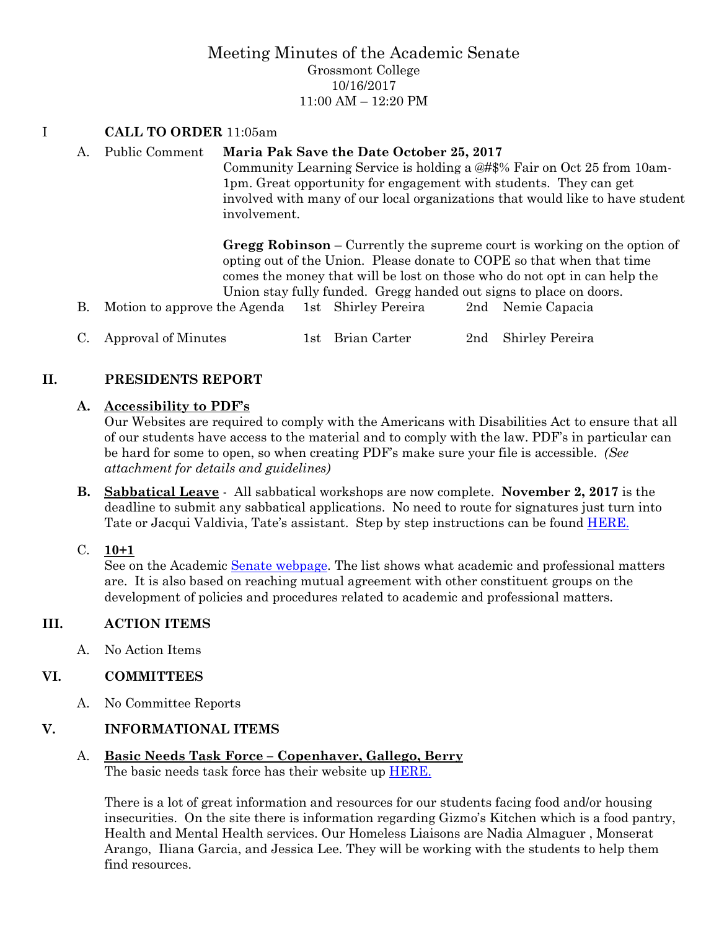## Meeting Minutes of the Academic Senate Grossmont College 10/16/2017 11:00 AM – 12:20 PM

### I **CALL TO ORDER** 11:05am

### A. Public Comment **Maria Pak Save the Date October 25, 2017**

Community Learning Service is holding a @#\$% Fair on Oct 25 from 10am-1pm. Great opportunity for engagement with students. They can get involved with many of our local organizations that would like to have student involvement.

**Gregg Robinson** – Currently the supreme court is working on the option of opting out of the Union. Please donate to COPE so that when that time comes the money that will be lost on those who do not opt in can help the Union stay fully funded. Gregg handed out signs to place on doors.

- B. Motion to approve the Agenda 1st Shirley Pereira 2nd Nemie Capacia
- C. Approval of Minutes 1st Brian Carter 2nd Shirley Pereira

## **II. PRESIDENTS REPORT**

### **A. Accessibility to PDF's**

Our Websites are required to comply with the Americans with Disabilities Act to ensure that all of our students have access to the material and to comply with the law. PDF's in particular can be hard for some to open, so when creating PDF's make sure your file is accessible. *(See attachment for details and guidelines)*

- **B. Sabbatical Leave** All sabbatical workshops are now complete. **November 2, 2017** is the deadline to submit any sabbatical applications. No need to route for signatures just turn into Tate or Jacqui Valdivia, Tate's assistant. Step by step instructions can be found **HERE**.
- C. **10+1**

See on the Academic [Senate webpage.](https://www.grossmont.edu/college-info/senate/default.aspx) The list shows what academic and professional matters are. It is also based on reaching mutual agreement with other constituent groups on the development of policies and procedures related to academic and professional matters.

### **III. ACTION ITEMS**

A. No Action Items

### **VI. COMMITTEES**

A. No Committee Reports

## **V. INFORMATIONAL ITEMS**

#### A. **Basic Needs Task Force – Copenhaver, Gallego, Berry** The basic needs task force has their website up [HERE.](https://www.grossmont.edu/student-services/offices-and-services/basic-needs/)

There is a lot of great information and resources for our students facing food and/or housing insecurities. On the site there is information regarding Gizmo's Kitchen which is a food pantry, Health and Mental Health services. Our Homeless Liaisons are Nadia Almaguer , Monserat Arango, Iliana Garcia, and Jessica Lee. They will be working with the students to help them find resources.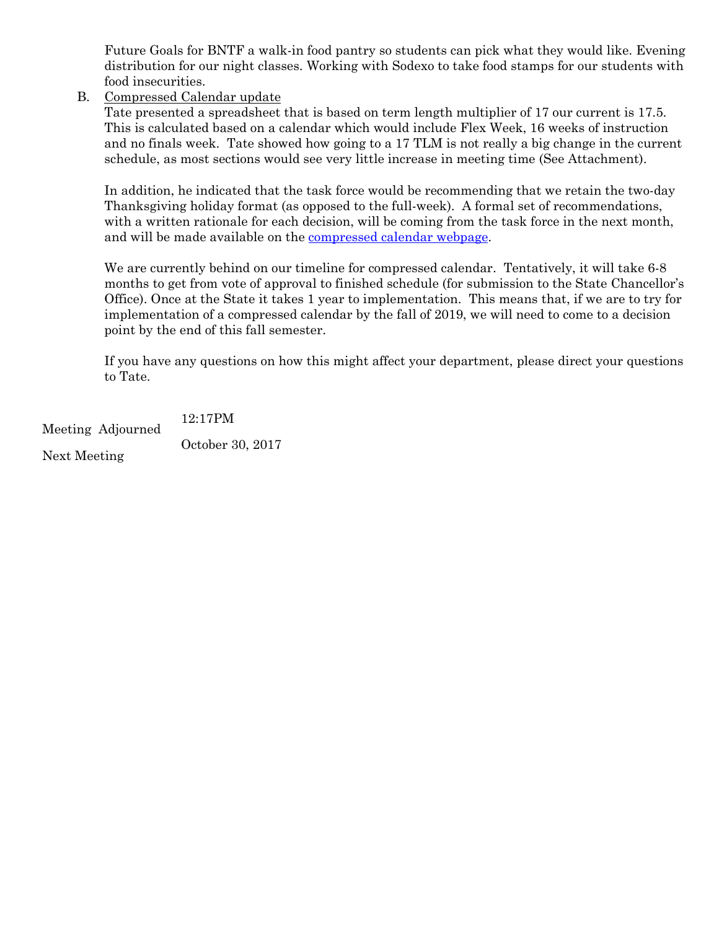Future Goals for BNTF a walk-in food pantry so students can pick what they would like. Evening distribution for our night classes. Working with Sodexo to take food stamps for our students with food insecurities.

B. Compressed Calendar update

Tate presented a spreadsheet that is based on term length multiplier of 17 our current is 17.5. This is calculated based on a calendar which would include Flex Week, 16 weeks of instruction and no finals week. Tate showed how going to a 17 TLM is not really a big change in the current schedule, as most sections would see very little increase in meeting time (See Attachment).

In addition, he indicated that the task force would be recommending that we retain the two-day Thanksgiving holiday format (as opposed to the full-week). A formal set of recommendations, with a written rationale for each decision, will be coming from the task force in the next month, and will be made available on the [compressed calendar webpage.](https://www.gcccd.edu/compressed-calendar/default.html)

We are currently behind on our timeline for compressed calendar. Tentatively, it will take 6-8 months to get from vote of approval to finished schedule (for submission to the State Chancellor's Office). Once at the State it takes 1 year to implementation. This means that, if we are to try for implementation of a compressed calendar by the fall of 2019, we will need to come to a decision point by the end of this fall semester.

If you have any questions on how this might affect your department, please direct your questions to Tate.

Meeting Adjourned 12:17PM Next Meeting October 30, 2017